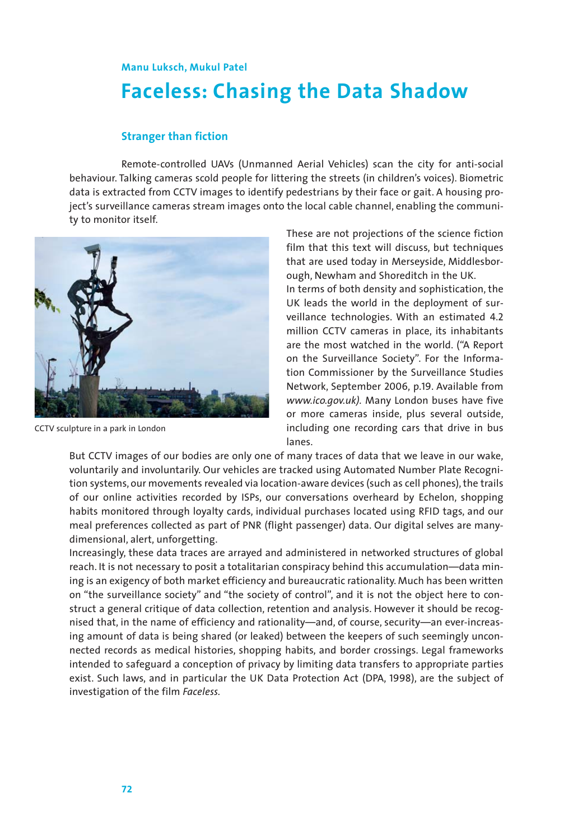## **Faceless: Chasing the Data Shadow Manu Luksch, Mukul Patel**

## **Stranger than fiction**

Remote-controlled UAVs (Unmanned Aerial Vehicles) scan the city for anti-social behaviour. Talking cameras scold people for littering the streets (in children's voices). Biometric data is extracted from CCTV images to identify pedestrians by their face or gait. A housing project's surveillance cameras stream images onto the local cable channel, enabling the community to monitor itself.



CCTV sculpture in a park in London

These are not projections of the science fiction film that this text will discuss, but techniques that are used today in Merseyside, Middlesborough, Newham and Shoreditch in the UK.

In terms of both density and sophistication, the UK leads the world in the deployment of surveillance technologies. With an estimated 4.2 million CCTV cameras in place, its inhabitants are the most watched in the world. ("A Report on the Surveillance Society". For the Information Commissioner by the Surveillance Studies Network, September 2006, p.19. Available from *www.ico.gov.uk).* Many London buses have five or more cameras inside, plus several outside, including one recording cars that drive in bus lanes.

But CCTV images of our bodies are only one of many traces of data that we leave in our wake, voluntarily and involuntarily. Our vehicles are tracked using Automated Number Plate Recognition systems, our movements revealed via location-aware devices (such as cell phones), the trails of our online activities recorded by ISPs, our conversations overheard by Echelon, shopping habits monitored through loyalty cards, individual purchases located using RFID tags, and our meal preferences collected as part of PNR (flight passenger) data. Our digital selves are manydimensional, alert, unforgetting.

Increasingly, these data traces are arrayed and administered in networked structures of global reach. It is not necessary to posit a totalitarian conspiracy behind this accumulation—data mining is an exigency of both market efficiency and bureaucratic rationality. Much has been written on "the surveillance society" and "the society of control", and it is not the object here to construct a general critique of data collection, retention and analysis. However it should be recognised that, in the name of efficiency and rationality—and, of course, security—an ever-increasing amount of data is being shared (or leaked) between the keepers of such seemingly unconnected records as medical histories, shopping habits, and border crossings. Legal frameworks intended to safeguard a conception of privacy by limiting data transfers to appropriate parties exist. Such laws, and in particular the UK Data Protection Act (DPA, 1998), are the subject of investigation of the film *Faceless.*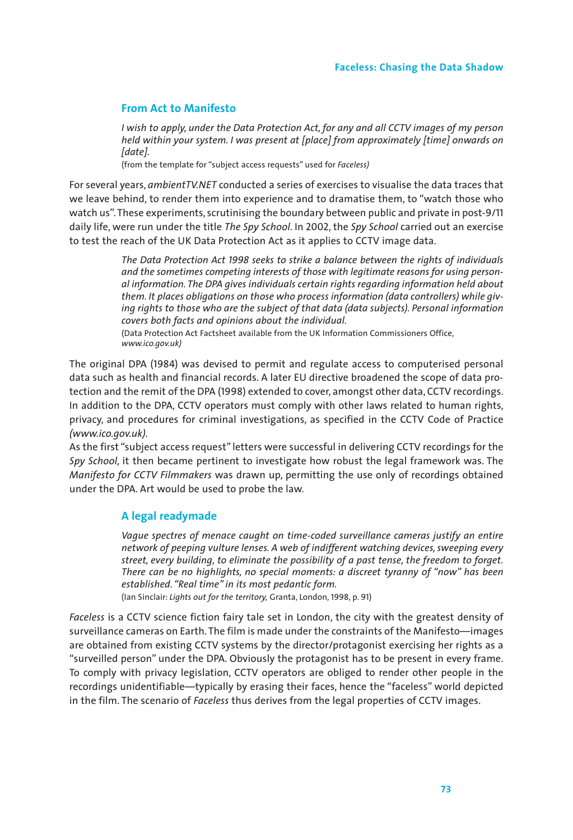## **From Act to Manifesto**

*I wish to apply, under the Data Protection Act, for any and all CCTV images of my person held within your system. I was present at [place] from approximately [time] onwards on [date].*

(from the template for "subject access requests" used for *Faceless)*

For several years, *ambientTV.NET* conducted a series of exercises to visualise the data traces that we leave behind, to render them into experience and to dramatise them, to "watch those who watch us". These experiments, scrutinising the boundary between public and private in post-9/11 daily life, were run under the title *The Spy School.* In 2002, the *Spy School* carried out an exercise to test the reach of the UK Data Protection Act as it applies to CCTV image data.

> *The Data Protection Act 1998 seeks to strike a balance between the rights of individuals and the sometimes competing interests of those with legitimate reasons for using personal information. The DPA gives individuals certain rights regarding information held about them. It places obligations on those who process information (data controllers) while giving rights to those who are the subject of that data (data subjects). Personal information covers both facts and opinions about the individual.*

(Data Protection Act Factsheet available from the UK Information Commissioners Office, *www.ico.gov.uk)*

The original DPA (1984) was devised to permit and regulate access to computerised personal data such as health and financial records. A later EU directive broadened the scope of data protection and the remit of the DPA (1998) extended to cover, amongst other data, CCTV recordings. In addition to the DPA, CCTV operators must comply with other laws related to human rights, privacy, and procedures for criminal investigations, as specified in the CCTV Code of Practice *(www.ico.gov.uk).*

As the first "subject access request" letters were successful in delivering CCTV recordings for the *Spy School,* it then became pertinent to investigate how robust the legal framework was. The *Manifesto for CCTV Filmmakers* was drawn up, permitting the use only of recordings obtained under the DPA. Art would be used to probe the law.

## **A legal readymade**

*Vague spectres of menace caught on time-coded surveillance cameras justify an entire network of peeping vulture lenses. A web of indifferent watching devices, sweeping every street, every building, to eliminate the possibility of a past tense, the freedom to forget. There can be no highlights, no special moments: a discreet tyranny of "now" has been established. "Real time" in its most pedantic form.*

(Ian Sinclair: *Lights out for the territory,* Granta, London, 1998, p. 91)

*Faceless* is a CCTV science fiction fairy tale set in London, the city with the greatest density of surveillance cameras on Earth. The film is made under the constraints of the Manifesto—images are obtained from existing CCTV systems by the director/protagonist exercising her rights as a "surveilled person" under the DPA. Obviously the protagonist has to be present in every frame. To comply with privacy legislation, CCTV operators are obliged to render other people in the recordings unidentifiable—typically by erasing their faces, hence the "faceless" world depicted in the film. The scenario of *Faceless* thus derives from the legal properties of CCTV images.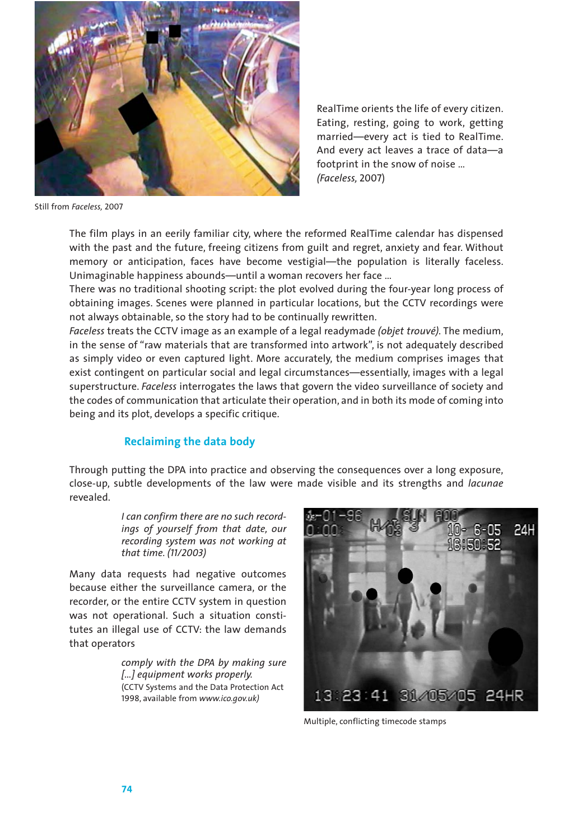

RealTime orients the life of every citizen. Eating, resting, going to work, getting married—every act is tied to RealTime. And every act leaves a trace of data—a footprint in the snow of noise … *(Faceless,* 2007)

Still from *Faceless,* 2007

The film plays in an eerily familiar city, where the reformed RealTime calendar has dispensed with the past and the future, freeing citizens from guilt and regret, anxiety and fear. Without memory or anticipation, faces have become vestigial—the population is literally faceless. Unimaginable happiness abounds—until a woman recovers her face …

There was no traditional shooting script: the plot evolved during the four-year long process of obtaining images. Scenes were planned in particular locations, but the CCTV recordings were not always obtainable, so the story had to be continually rewritten.

*Faceless* treats the CCTV image as an example of a legal readymade *(objet trouvé).* The medium, in the sense of "raw materials that are transformed into artwork", is not adequately described as simply video or even captured light. More accurately, the medium comprises images that exist contingent on particular social and legal circumstances—essentially, images with a legal superstructure. *Faceless* interrogates the laws that govern the video surveillance of society and the codes of communication that articulate their operation, and in both its mode of coming into being and its plot, develops a specific critique.

## **Reclaiming the data body**

Through putting the DPA into practice and observing the consequences over a long exposure, close-up, subtle developments of the law were made visible and its strengths and *lacunae* revealed.

> *I can confirm there are no such recordings of yourself from that date, our recording system was not working at that time. (11/2003)*

Many data requests had negative outcomes because either the surveillance camera, or the recorder, or the entire CCTV system in question was not operational. Such a situation constitutes an illegal use of CCTV: the law demands that operators

> *comply with the DPA by making sure […] equipment works properly.* (CCTV Systems and the Data Protection Act 1998, available from *www.ico.gov.uk)*



Multiple, conflicting timecode stamps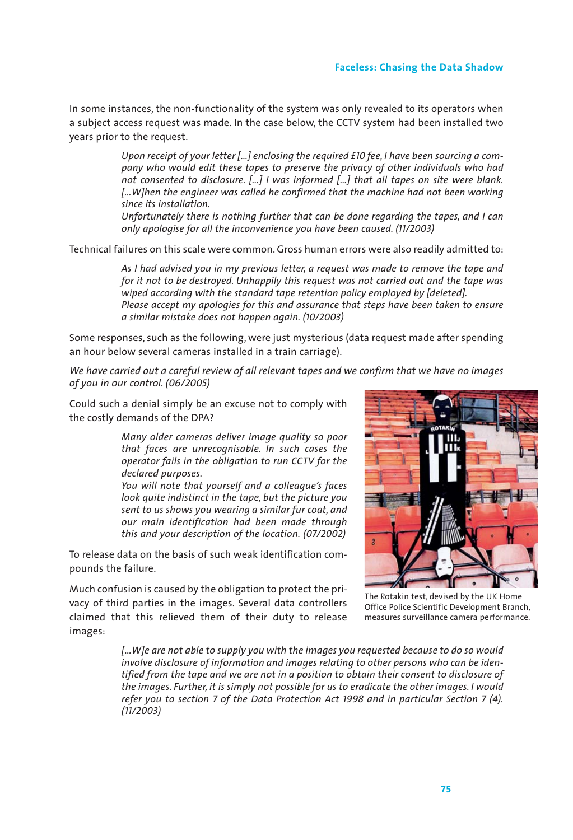## **Faceless: Chasing the Data Shadow**

In some instances, the non-functionality of the system was only revealed to its operators when a subject access request was made. In the case below, the CCTV system had been installed two years prior to the request.

> *Upon receipt of your letter […] enclosing the required £10 fee, I have been sourcing a company who would edit these tapes to preserve the privacy of other individuals who had not consented to disclosure. […] I was informed […] that all tapes on site were blank. […W]hen the engineer was called he confirmed that the machine had not been working since its installation.*

> *Unfortunately there is nothing further that can be done regarding the tapes, and I can only apologise for all the inconvenience you have been caused. (11/2003)*

Technical failures on this scale were common. Gross human errors were also readily admitted to:

*As I had advised you in my previous letter, a request was made to remove the tape and for it not to be destroyed. Unhappily this request was not carried out and the tape was wiped according with the standard tape retention policy employed by [deleted]. Please accept my apologies for this and assurance that steps have been taken to ensure a similar mistake does not happen again. (10/2003)*

Some responses, such as the following, were just mysterious (data request made after spending an hour below several cameras installed in a train carriage).

*We have carried out a careful review of all relevant tapes and we confirm that we have no images of you in our control. (06/2005)*

Could such a denial simply be an excuse not to comply with the costly demands of the DPA?

> *Many older cameras deliver image quality so poor that faces are unrecognisable. In such cases the operator fails in the obligation to run CCTV for the declared purposes.*

> *You will note that yourself and a colleague's faces look quite indistinct in the tape, but the picture you sent to us shows you wearing a similar fur coat, and our main identification had been made through this and your description of the location. (07/2002)*

To release data on the basis of such weak identification compounds the failure.

Much confusion is caused by the obligation to protect the privacy of third parties in the images. Several data controllers claimed that this relieved them of their duty to release images:



The Rotakin test, devised by the UK Home Office Police Scientific Development Branch, measures surveillance camera performance.

*[…W]e are not able to supply you with the images you requested because to do so would involve disclosure of information and images relating to other persons who can be identified from the tape and we are not in a position to obtain their consent to disclosure of the images. Further, it is simply not possible for us to eradicate the other images. I would refer you to section 7 of the Data Protection Act 1998 and in particular Section 7 (4). (11/2003)*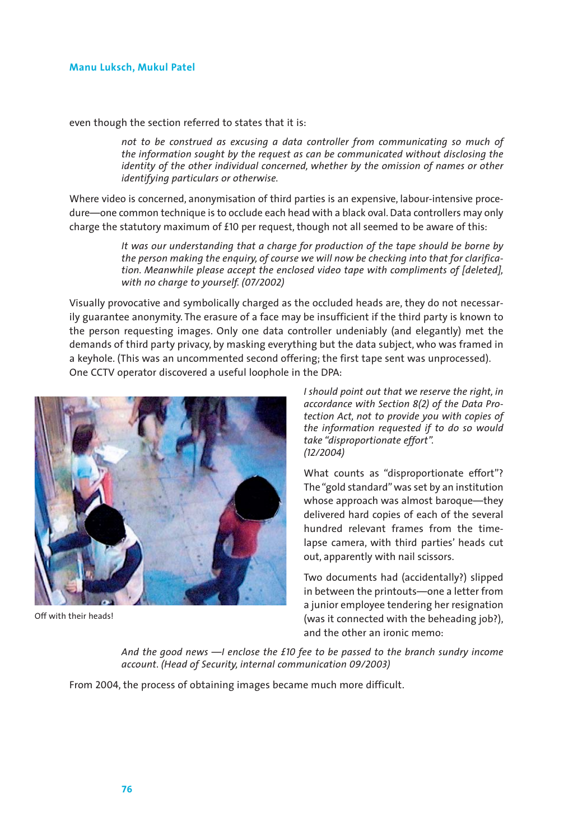even though the section referred to states that it is:

*not to be construed as excusing a data controller from communicating so much of the information sought by the request as can be communicated without disclosing the identity of the other individual concerned, whether by the omission of names or other identifying particulars or otherwise.*

Where video is concerned, anonymisation of third parties is an expensive, labour-intensive procedure—one common technique is to occlude each head with a black oval. Data controllers may only charge the statutory maximum of £10 per request, though not all seemed to be aware of this:

> *It was our understanding that a charge for production of the tape should be borne by the person making the enquiry, of course we will now be checking into that for clarification. Meanwhile please accept the enclosed video tape with compliments of [deleted], with no charge to yourself. (07/2002)*

Visually provocative and symbolically charged as the occluded heads are, they do not necessarily guarantee anonymity. The erasure of a face may be insufficient if the third party is known to the person requesting images. Only one data controller undeniably (and elegantly) met the demands of third party privacy, by masking everything but the data subject, who was framed in a keyhole. (This was an uncommented second offering; the first tape sent was unprocessed). One CCTV operator discovered a useful loophole in the DPA:



Off with their heads!

*I should point out that we reserve the right, in accordance with Section 8(2) of the Data Protection Act, not to provide you with copies of the information requested if to do so would take "disproportionate effort". (12/2004)*

What counts as "disproportionate effort"? The "gold standard" was set by an institution whose approach was almost baroque—they delivered hard copies of each of the several hundred relevant frames from the timelapse camera, with third parties' heads cut out, apparently with nail scissors.

Two documents had (accidentally?) slipped in between the printouts—one a letter from a junior employee tendering her resignation (was it connected with the beheading job?), and the other an ironic memo:

*And the good news —I enclose the £10 fee to be passed to the branch sundry income account. (Head of Security, internal communication 09/2003)*

From 2004, the process of obtaining images became much more difficult.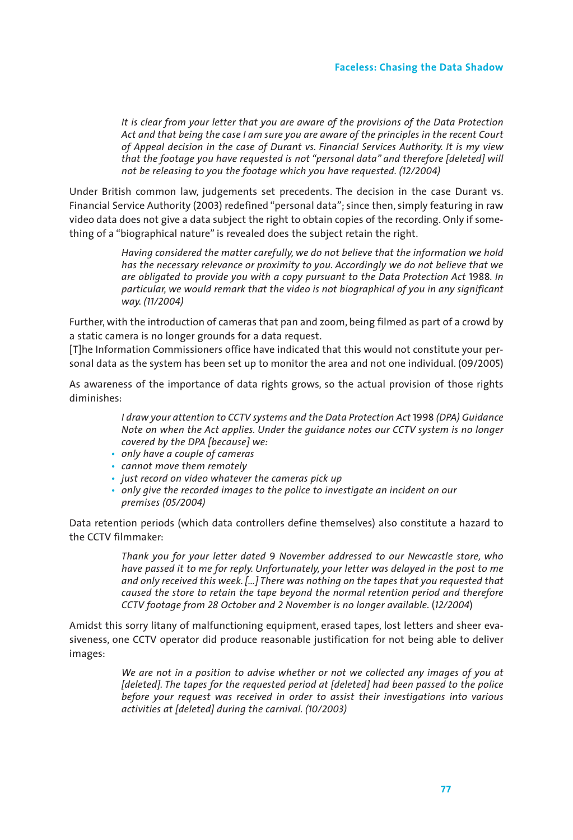*It is clear from your letter that you are aware of the provisions of the Data Protection Act and that being the case I am sure you are aware of the principles in the recent Court of Appeal decision in the case of Durant vs. Financial Services Authority. It is my view that the footage you have requested is not "personal data" and therefore [deleted] will not be releasing to you the footage which you have requested. (12/2004)*

Under British common law, judgements set precedents. The decision in the case Durant vs. Financial Service Authority (2003) redefined "personal data"; since then, simply featuring in raw video data does not give a data subject the right to obtain copies of the recording. Only if something of a "biographical nature" is revealed does the subject retain the right.

> *Having considered the matter carefully, we do not believe that the information we hold has the necessary relevance or proximity to you. Accordingly we do not believe that we are obligated to provide you with a copy pursuant to the Data Protection Act* 1988*. In particular, we would remark that the video is not biographical of you in any significant way. (11/2004)*

Further, with the introduction of cameras that pan and zoom, being filmed as part of a crowd by a static camera is no longer grounds for a data request.

[T]he Information Commissioners office have indicated that this would not constitute your personal data as the system has been set up to monitor the area and not one individual. (09/2005)

As awareness of the importance of data rights grows, so the actual provision of those rights diminishes:

> *I draw your attention to CCTV systems and the Data Protection Act* 1998 *(DPA) Guidance Note on when the Act applies. Under the guidance notes our CCTV system is no longer covered by the DPA [because] we:*

- *• only have a couple of cameras*
- *• cannot move them remotely*
- *• just record on video whatever the cameras pick up*
- *• only give the recorded images to the police to investigate an incident on our premises (05/2004)*

Data retention periods (which data controllers define themselves) also constitute a hazard to the CCTV filmmaker:

> *Thank you for your letter dated* 9 *November addressed to our Newcastle store, who have passed it to me for reply. Unfortunately, your letter was delayed in the post to me and only received this week. […] There was nothing on the tapes that you requested that caused the store to retain the tape beyond the normal retention period and therefore CCTV footage from 28 October and 2 November is no longer available.* (*12/2004*)

Amidst this sorry litany of malfunctioning equipment, erased tapes, lost letters and sheer evasiveness, one CCTV operator did produce reasonable justification for not being able to deliver images:

> *We are not in a position to advise whether or not we collected any images of you at [deleted]. The tapes for the requested period at [deleted] had been passed to the police before your request was received in order to assist their investigations into various activities at [deleted] during the carnival. (10/2003)*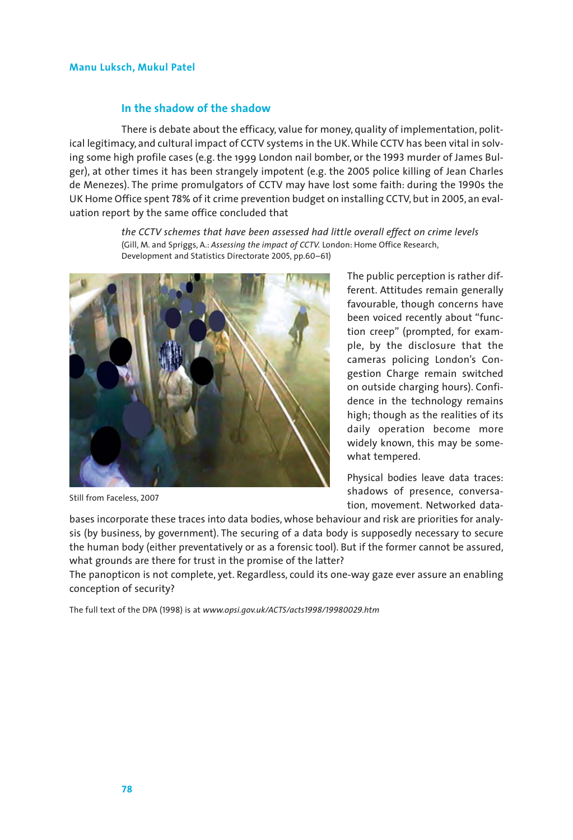## **In the shadow of the shadow**

There is debate about the efficacy, value for money, quality of implementation, political legitimacy, and cultural impact of CCTV systems in the UK. While CCTV has been vital in solving some high profile cases (e.g. the 1999 London nail bomber, or the 1993 murder of James Bulger), at other times it has been strangely impotent (e.g. the 2005 police killing of Jean Charles de Menezes). The prime promulgators of CCTV may have lost some faith: during the 1990s the UK Home Office spent 78% of it crime prevention budget on installing CCTV, but in 2005, an evaluation report by the same office concluded that

> *the CCTV schemes that have been assessed had little overall effect on crime levels* (Gill, M. and Spriggs, A.: *Assessing the impact of CCTV.* London: Home Office Research, Development and Statistics Directorate 2005, pp.60–61)



Still from Faceless, 2007

The public perception is rather different. Attitudes remain generally favourable, though concerns have been voiced recently about "function creep" (prompted, for example, by the disclosure that the cameras policing London's Congestion Charge remain switched on outside charging hours). Confidence in the technology remains high; though as the realities of its daily operation become more widely known, this may be somewhat tempered.

Physical bodies leave data traces: shadows of presence, conversation, movement. Networked data-

bases incorporate these traces into data bodies, whose behaviour and risk are priorities for analysis (by business, by government). The securing of a data body is supposedly necessary to secure the human body (either preventatively or as a forensic tool). But if the former cannot be assured, what grounds are there for trust in the promise of the latter?

The panopticon is not complete, yet. Regardless, could its one-way gaze ever assure an enabling conception of security?

The full text of the DPA (1998) is at *www.opsi.gov.uk/ACTS/acts1998/19980029.htm*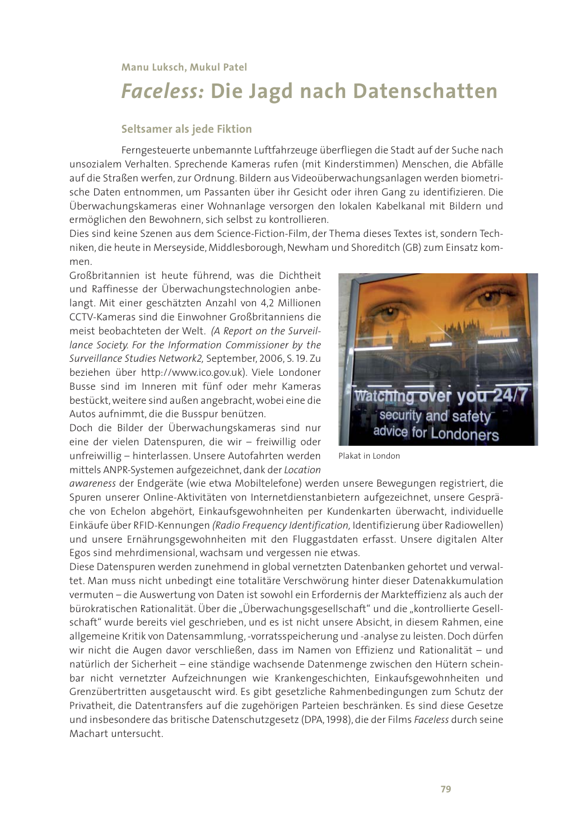# *Faceless:* **Die Jagd nach Datenschatten**

## **Seltsamer als jede Fiktion**

Ferngesteuerte unbemannte Luftfahrzeuge überfliegen die Stadt auf der Suche nach unsozialem Verhalten. Sprechende Kameras rufen (mit Kinderstimmen) Menschen, die Abfälle auf die Straßen werfen, zur Ordnung. Bildern aus Videoüberwachungsanlagen werden biometrische Daten entnommen, um Passanten über ihr Gesicht oder ihren Gang zu identifizieren. Die Überwachungskameras einer Wohnanlage versorgen den lokalen Kabelkanal mit Bildern und ermöglichen den Bewohnern, sich selbst zu kontrollieren.

Dies sind keine Szenen aus dem Science-Fiction-Film, der Thema dieses Textes ist, sondern Techniken, die heute in Merseyside, Middlesborough, Newham und Shoreditch (GB) zum Einsatz kommen.

Großbritannien ist heute führend, was die Dichtheit und Raffinesse der Überwachungstechnologien anbelangt. Mit einer geschätzten Anzahl von 4,2 Millionen CCTV-Kameras sind die Einwohner Großbritanniens die meist beobachteten der Welt. *(A Report on the Surveillance Society. For the Information Commissioner by the Surveillance Studies Network2,* September, 2006, S. 19. Zu beziehen über http://www.ico.gov.uk). Viele Londoner Busse sind im Inneren mit fünf oder mehr Kameras bestückt, weitere sind außen angebracht, wobei eine die Autos aufnimmt, die die Busspur benützen.



*awareness* der Endgeräte (wie etwa Mobiltelefone) werden unsere Bewegungen registriert, die Spuren unserer Online-Aktivitäten von Internetdienstanbietern aufgezeichnet, unsere Gespräche von Echelon abgehört, Einkaufsgewohnheiten per Kundenkarten überwacht, individuelle Einkäufe über RFID-Kennungen *(Radio Frequency Identification,* Identifizierung über Radiowellen) und unsere Ernährungsgewohnheiten mit den Fluggastdaten erfasst. Unsere digitalen Alter Egos sind mehrdimensional, wachsam und vergessen nie etwas.

Diese Datenspuren werden zunehmend in global vernetzten Datenbanken gehortet und verwaltet. Man muss nicht unbedingt eine totalitäre Verschwörung hinter dieser Datenakkumulation vermuten – die Auswertung von Daten ist sowohl ein Erfordernis der Markteffizienz als auch der bürokratischen Rationalität. Über die "Überwachungsgesellschaft" und die "kontrollierte Gesellschaft" wurde bereits viel geschrieben, und es ist nicht unsere Absicht, in diesem Rahmen, eine allgemeine Kritik von Datensammlung, -vorratsspeicherung und -analyse zu leisten. Doch dürfen wir nicht die Augen davor verschließen, dass im Namen von Effizienz und Rationalität – und natürlich der Sicherheit – eine ständige wachsende Datenmenge zwischen den Hütern scheinbar nicht vernetzter Aufzeichnungen wie Krankengeschichten, Einkaufsgewohnheiten und Grenzübertritten ausgetauscht wird. Es gibt gesetzliche Rahmenbedingungen zum Schutz der Privatheit, die Datentransfers auf die zugehörigen Parteien beschränken. Es sind diese Gesetze und insbesondere das britische Datenschutzgesetz (DPA,1998), die der Films *Faceless* durch seine Machart untersucht.

Watching over you 24/ security and safety advice for Londoners

Plakat in London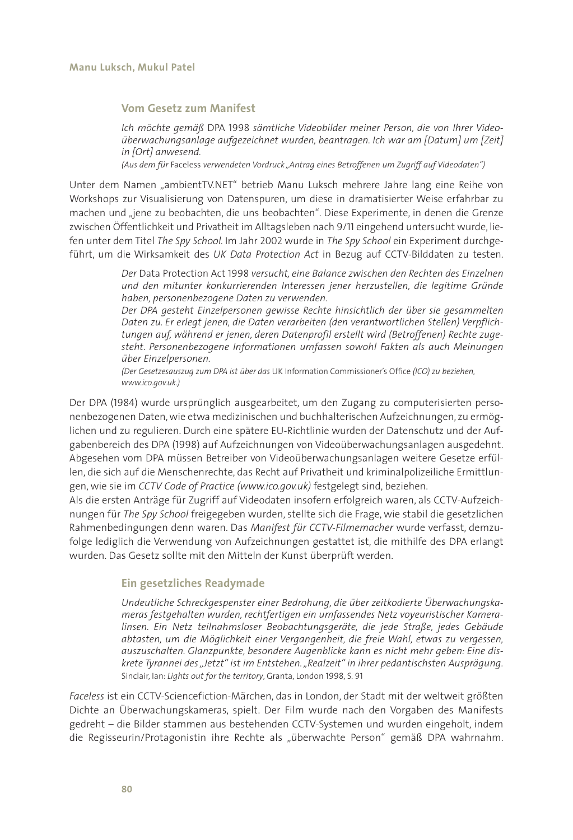#### **Vom Gesetz zum Manifest**

*Ich möchte gemäß* DPA 1998 *sämtliche Videobilder meiner Person, die von Ihrer Videoüberwachungsanlage aufgezeichnet wurden, beantragen. Ich war am [Datum] um [Zeit] in [Ort] anwesend.*

*(Aus dem für* Faceless *verwendeten Vordruck "Antrag eines Betroffenen um Zugriff auf Videodaten")*

Unter dem Namen "ambientTV.NET" betrieb Manu Luksch mehrere Jahre lang eine Reihe von Workshops zur Visualisierung von Datenspuren, um diese in dramatisierter Weise erfahrbar zu machen und "jene zu beobachten, die uns beobachten". Diese Experimente, in denen die Grenze zwischen Öffentlichkeit und Privatheit im Alltagsleben nach 9/11 eingehend untersucht wurde, liefen unter dem Titel *The Spy School.* Im Jahr 2002 wurde in *The Spy School* ein Experiment durchgeführt, um die Wirksamkeit des *UK Data Protection Act* in Bezug auf CCTV-Bilddaten zu testen.

> *Der* Data Protection Act 1998 *versucht, eine Balance zwischen den Rechten des Einzelnen und den mitunter konkurrierenden Interessen jener herzustellen, die legitime Gründe haben, personenbezogene Daten zu verwenden.*

> *Der DPA gesteht Einzelpersonen gewisse Rechte hinsichtlich der über sie gesammelten Daten zu. Er erlegt jenen, die Daten verarbeiten (den verantwortlichen Stellen) Verpflichtungen auf, während er jenen, deren Datenprofil erstellt wird (Betroffenen) Rechte zugesteht. Personenbezogene Informationen umfassen sowohl Fakten als auch Meinungen über Einzelpersonen.*

*(Der Gesetzesauszug zum DPA ist über das* UK Information Commissioner's Office *(ICO) zu beziehen, www.ico.gov.uk.)*

Der DPA (1984) wurde ursprünglich ausgearbeitet, um den Zugang zu computerisierten personenbezogenen Daten, wie etwa medizinischen und buchhalterischen Aufzeichnungen, zu ermöglichen und zu regulieren. Durch eine spätere EU-Richtlinie wurden der Datenschutz und der Aufgabenbereich des DPA (1998) auf Aufzeichnungen von Videoüberwachungsanlagen ausgedehnt. Abgesehen vom DPA müssen Betreiber von Videoüberwachungsanlagen weitere Gesetze erfüllen, die sich auf die Menschenrechte, das Recht auf Privatheit und kriminalpolizeiliche Ermittlungen, wie sie im *CCTV Code of Practice (www.ico.gov.uk)* festgelegt sind, beziehen.

Als die ersten Anträge für Zugriff auf Videodaten insofern erfolgreich waren, als CCTV-Aufzeichnungen für *The Spy School* freigegeben wurden, stellte sich die Frage, wie stabil die gesetzlichen Rahmenbedingungen denn waren. Das *Manifest für CCTV-Filmemacher* wurde verfasst, demzufolge lediglich die Verwendung von Aufzeichnungen gestattet ist, die mithilfe des DPA erlangt wurden. Das Gesetz sollte mit den Mitteln der Kunst überprüft werden.

## **Ein gesetzliches Readymade**

*Undeutliche Schreckgespenster einer Bedrohung, die über zeitkodierte Überwachungskameras festgehalten wurden, rechtfertigen ein umfassendes Netz voyeuristischer Kameralinsen. Ein Netz teilnahmsloser Beobachtungsgeräte, die jede Straße, jedes Gebäude abtasten, um die Möglichkeit einer Vergangenheit, die freie Wahl, etwas zu vergessen, auszuschalten. Glanzpunkte, besondere Augenblicke kann es nicht mehr geben: Eine diskrete Tyrannei des "Jetzt" ist im Entstehen. "Realzeit" in ihrer pedantischsten Ausprägung.* Sinclair, Ian: *Lights out for the territory*, Granta, London 1998, S. 91

*Faceless* ist ein CCTV-Sciencefiction-Märchen, das in London, der Stadt mit der weltweit größten Dichte an Überwachungskameras, spielt. Der Film wurde nach den Vorgaben des Manifests gedreht – die Bilder stammen aus bestehenden CCTV-Systemen und wurden eingeholt, indem die Regisseurin/Protagonistin ihre Rechte als "überwachte Person" gemäß DPA wahrnahm.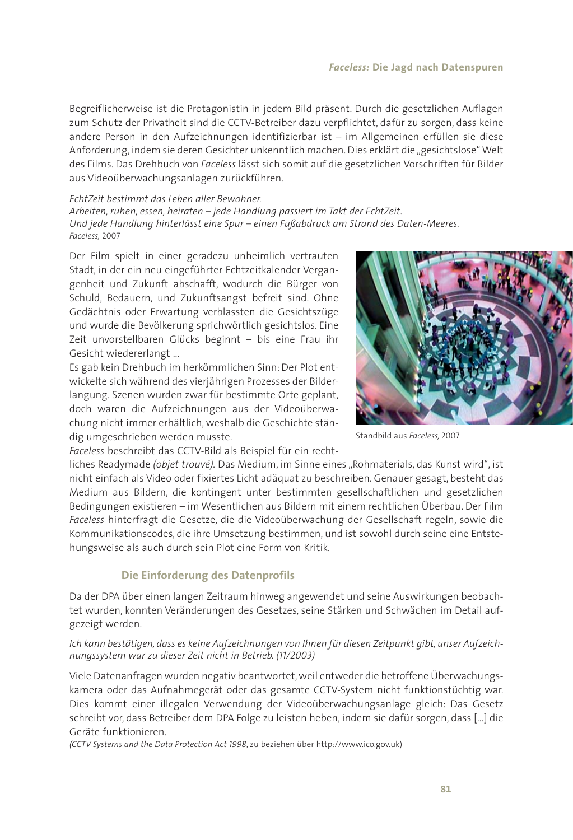Begreiflicherweise ist die Protagonistin in jedem Bild präsent. Durch die gesetzlichen Auflagen zum Schutz der Privatheit sind die CCTV-Betreiber dazu verpflichtet, dafür zu sorgen, dass keine andere Person in den Aufzeichnungen identifizierbar ist – im Allgemeinen erfüllen sie diese Anforderung, indem sie deren Gesichter unkenntlich machen. Dies erklärt die "gesichtslose" Welt des Films. Das Drehbuch von *Faceless* lässt sich somit auf die gesetzlichen Vorschriften für Bilder aus Videoüberwachungsanlagen zurückführen.

#### *EchtZeit bestimmt das Leben aller Bewohner.*

*Arbeiten, ruhen, essen, heiraten – jede Handlung passiert im Takt der EchtZeit. Und jede Handlung hinterlässt eine Spur – einen Fußabdruck am Strand des Daten-Meeres. Faceless,* 2007

Der Film spielt in einer geradezu unheimlich vertrauten Stadt, in der ein neu eingeführter Echtzeitkalender Vergangenheit und Zukunft abschafft, wodurch die Bürger von Schuld, Bedauern, und Zukunftsangst befreit sind. Ohne Gedächtnis oder Erwartung verblassten die Gesichtszüge und wurde die Bevölkerung sprichwörtlich gesichtslos. Eine Zeit unvorstellbaren Glücks beginnt – bis eine Frau ihr Gesicht wiedererlangt …

Es gab kein Drehbuch im herkömmlichen Sinn: Der Plot entwickelte sich während des vierjährigen Prozesses der Bilderlangung. Szenen wurden zwar für bestimmte Orte geplant, doch waren die Aufzeichnungen aus der Videoüberwachung nicht immer erhältlich, weshalb die Geschichte ständig umgeschrieben werden musste.



Standbild aus *Faceless,* 2007

*Faceless* beschreibt das CCTV-Bild als Beispiel für ein recht-

liches Readymade *(objet trouvé)*. Das Medium, im Sinne eines "Rohmaterials, das Kunst wird", ist nicht einfach als Video oder fixiertes Licht adäquat zu beschreiben. Genauer gesagt, besteht das Medium aus Bildern, die kontingent unter bestimmten gesellschaftlichen und gesetzlichen Bedingungen existieren – im Wesentlichen aus Bildern mit einem rechtlichen Überbau. Der Film *Faceless* hinterfragt die Gesetze, die die Videoüberwachung der Gesellschaft regeln, sowie die Kommunikationscodes, die ihre Umsetzung bestimmen, und ist sowohl durch seine eine Entstehungsweise als auch durch sein Plot eine Form von Kritik.

## **Die Einforderung des Datenprofils**

Da der DPA über einen langen Zeitraum hinweg angewendet und seine Auswirkungen beobachtet wurden, konnten Veränderungen des Gesetzes, seine Stärken und Schwächen im Detail aufgezeigt werden.

*Ich kann bestätigen, dass es keine Aufzeichnungen von Ihnen für diesen Zeitpunkt gibt, unser Aufzeichnungssystem war zu dieser Zeit nicht in Betrieb. (11/2003)*

Viele Datenanfragen wurden negativ beantwortet, weil entweder die betroffene Überwachungskamera oder das Aufnahmegerät oder das gesamte CCTV-System nicht funktionstüchtig war. Dies kommt einer illegalen Verwendung der Videoüberwachungsanlage gleich: Das Gesetz schreibt vor, dass Betreiber dem DPA Folge zu leisten heben, indem sie dafür sorgen, dass […] die Geräte funktionieren.

*(CCTV Systems and the Data Protection Act 1998*, zu beziehen über http://www.ico.gov.uk)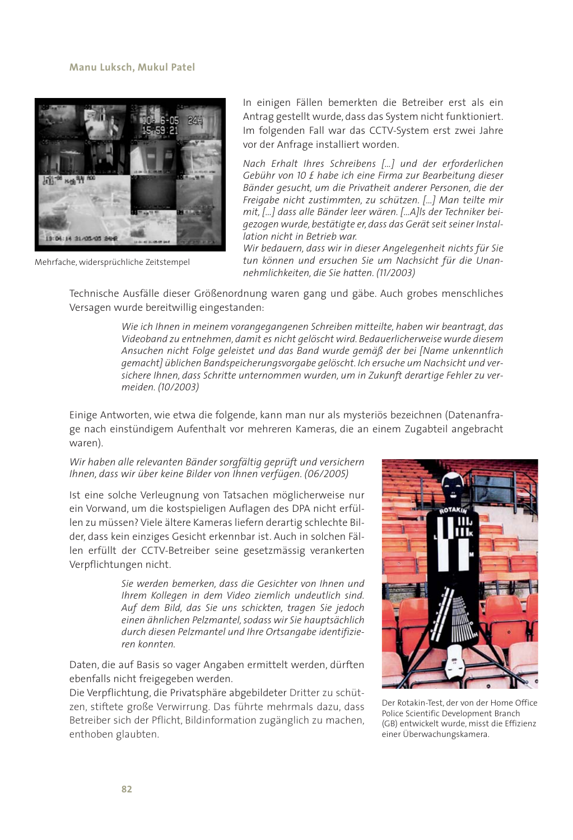

Mehrfache, widersprüchliche Zeitstempel

In einigen Fällen bemerkten die Betreiber erst als ein Antrag gestellt wurde, dass das System nicht funktioniert. Im folgenden Fall war das CCTV-System erst zwei Jahre vor der Anfrage installiert worden.

*Nach Erhalt Ihres Schreibens […] und der erforderlichen Gebühr von 10 £ habe ich eine Firma zur Bearbeitung dieser Bänder gesucht, um die Privatheit anderer Personen, die der Freigabe nicht zustimmten, zu schützen. […] Man teilte mir mit, […] dass alle Bänder leer wären. […A]ls der Techniker beigezogen wurde, bestätigte er, dass das Gerät seit seiner Installation nicht in Betrieb war.*

*Wir bedauern, dass wir in dieser Angelegenheit nichts für Sie tun können und ersuchen Sie um Nachsicht für die Unannehmlichkeiten, die Sie hatten. (11/2003)*

Technische Ausfälle dieser Größenordnung waren gang und gäbe. Auch grobes menschliches Versagen wurde bereitwillig eingestanden:

> *Wie ich Ihnen in meinem vorangegangenen Schreiben mitteilte, haben wir beantragt, das Videoband zu entnehmen, damit es nicht gelöscht wird. Bedauerlicherweise wurde diesem Ansuchen nicht Folge geleistet und das Band wurde gemäß der bei [Name unkenntlich gemacht] üblichen Bandspeicherungsvorgabe gelöscht. Ich ersuche um Nachsicht und versichere Ihnen, dass Schritte unternommen wurden, um in Zukunft derartige Fehler zu vermeiden. (10/2003)*

Einige Antworten, wie etwa die folgende, kann man nur als mysteriös bezeichnen (Datenanfrage nach einstündigem Aufenthalt vor mehreren Kameras, die an einem Zugabteil angebracht waren).

## *Wir haben alle relevanten Bänder sorgfältig geprüft und versichern Ihnen, dass wir über keine Bilder von Ihnen verfügen. (06/2005)*

Ist eine solche Verleugnung von Tatsachen möglicherweise nur ein Vorwand, um die kostspieligen Auflagen des DPA nicht erfüllen zu müssen? Viele ältere Kameras liefern derartig schlechte Bilder, dass kein einziges Gesicht erkennbar ist. Auch in solchen Fällen erfüllt der CCTV-Betreiber seine gesetzmässig verankerten Verpflichtungen nicht.

> *Sie werden bemerken, dass die Gesichter von Ihnen und Ihrem Kollegen in dem Video ziemlich undeutlich sind. Auf dem Bild, das Sie uns schickten, tragen Sie jedoch einen ähnlichen Pelzmantel, sodass wir Sie hauptsächlich durch diesen Pelzmantel und Ihre Ortsangabe identifizieren konnten.*

Daten, die auf Basis so vager Angaben ermittelt werden, dürften ebenfalls nicht freigegeben werden.

Die Verpflichtung, die Privatsphäre abgebildeter Dritter zu schützen, stiftete große Verwirrung. Das führte mehrmals dazu, dass Betreiber sich der Pflicht, Bildinformation zugänglich zu machen, enthoben glaubten.



Der Rotakin-Test, der von der Home Office Police Scientific Development Branch (GB) entwickelt wurde, misst die Effizienz einer Überwachungskamera.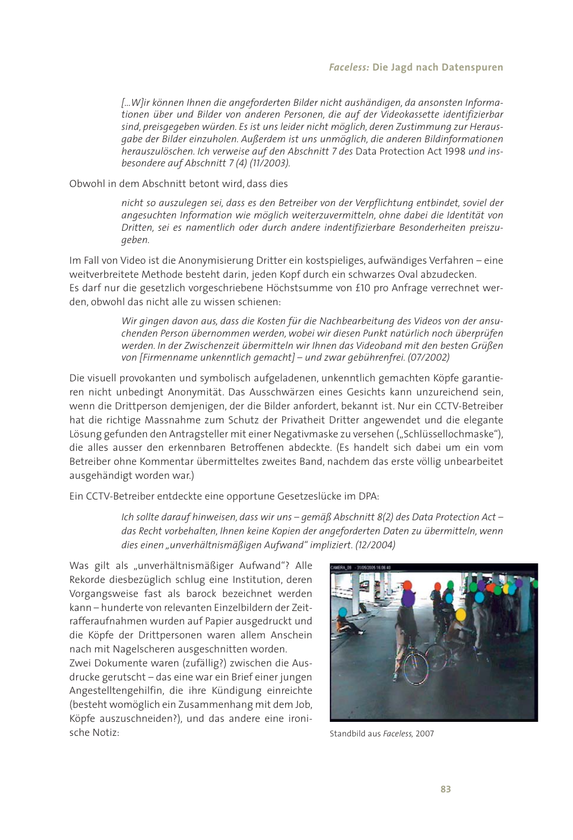*[…W]ir können Ihnen die angeforderten Bilder nicht aushändigen, da ansonsten Informationen über und Bilder von anderen Personen, die auf der Videokassette identifizierbar sind, preisgegeben würden. Es ist uns leider nicht möglich, deren Zustimmung zur Herausgabe der Bilder einzuholen. Außerdem ist uns unmöglich, die anderen Bildinformationen herauszulöschen. Ich verweise auf den Abschnitt 7 des* Data Protection Act 1998 *und insbesondere auf Abschnitt 7 (4) (11/2003).*

Obwohl in dem Abschnitt betont wird, dass dies

*nicht so auszulegen sei, dass es den Betreiber von der Verpflichtung entbindet, soviel der angesuchten Information wie möglich weiterzuvermitteln, ohne dabei die Identität von Dritten, sei es namentlich oder durch andere indentifizierbare Besonderheiten preiszugeben.*

Im Fall von Video ist die Anonymisierung Dritter ein kostspieliges, aufwändiges Verfahren – eine weitverbreitete Methode besteht darin, jeden Kopf durch ein schwarzes Oval abzudecken. Es darf nur die gesetzlich vorgeschriebene Höchstsumme von £10 pro Anfrage verrechnet werden, obwohl das nicht alle zu wissen schienen:

> *Wir gingen davon aus, dass die Kosten für die Nachbearbeitung des Videos von der ansuchenden Person übernommen werden, wobei wir diesen Punkt natürlich noch überprüfen werden. In der Zwischenzeit übermitteln wir Ihnen das Videoband mit den besten Grüßen von [Firmenname unkenntlich gemacht] – und zwar gebührenfrei. (07/2002)*

Die visuell provokanten und symbolisch aufgeladenen, unkenntlich gemachten Köpfe garantieren nicht unbedingt Anonymität. Das Ausschwärzen eines Gesichts kann unzureichend sein, wenn die Drittperson demjenigen, der die Bilder anfordert, bekannt ist. Nur ein CCTV-Betreiber hat die richtige Massnahme zum Schutz der Privatheit Dritter angewendet und die elegante Lösung gefunden den Antragsteller mit einer Negativmaske zu versehen ("Schlüssellochmaske"), die alles ausser den erkennbaren Betroffenen abdeckte. (Es handelt sich dabei um ein vom Betreiber ohne Kommentar übermitteltes zweites Band, nachdem das erste völlig unbearbeitet ausgehändigt worden war.)

Ein CCTV-Betreiber entdeckte eine opportune Gesetzeslücke im DPA:

*Ich sollte darauf hinweisen, dass wir uns – gemäß Abschnitt 8(2) des Data Protection Act – das Recht vorbehalten, Ihnen keine Kopien der angeforderten Daten zu übermitteln, wenn dies einen "unverhältnismäßigen Aufwand" impliziert. (12/2004)*

Was gilt als "unverhältnismäßiger Aufwand"? Alle Rekorde diesbezüglich schlug eine Institution, deren Vorgangsweise fast als barock bezeichnet werden kann – hunderte von relevanten Einzelbildern der Zeitrafferaufnahmen wurden auf Papier ausgedruckt und die Köpfe der Drittpersonen waren allem Anschein nach mit Nagelscheren ausgeschnitten worden. Zwei Dokumente waren (zufällig?) zwischen die Ausdrucke gerutscht – das eine war ein Brief einer jungen Angestelltengehilfin, die ihre Kündigung einreichte (besteht womöglich ein Zusammenhang mit dem Job, Köpfe auszuschneiden?), und das andere eine ironische Notiz:



Standbild aus *Faceless,* 2007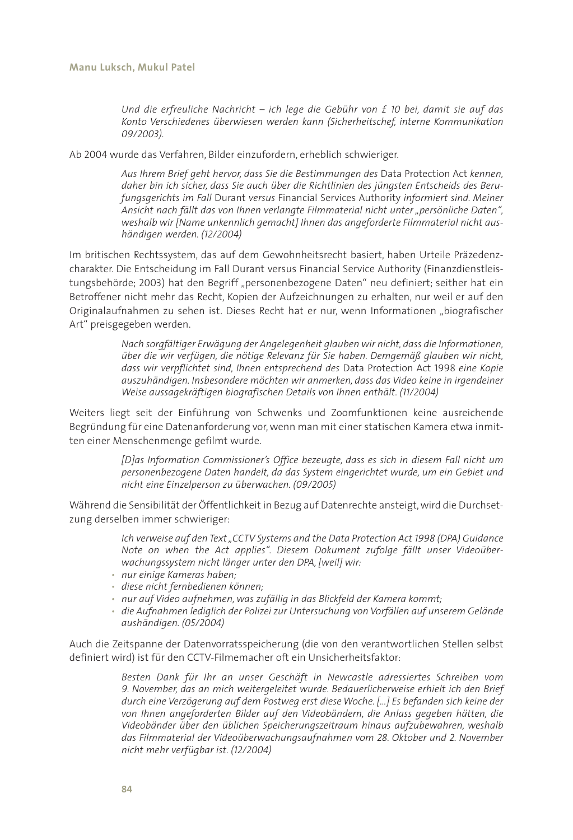*Und die erfreuliche Nachricht – ich lege die Gebühr von £ 10 bei, damit sie auf das Konto Verschiedenes überwiesen werden kann (Sicherheitschef, interne Kommunikation 09/2003).*

Ab 2004 wurde das Verfahren, Bilder einzufordern, erheblich schwieriger.

*Aus Ihrem Brief geht hervor, dass Sie die Bestimmungen des* Data Protection Act *kennen, daher bin ich sicher, dass Sie auch über die Richtlinien des jüngsten Entscheids des Berufungsgerichts im Fall* Durant *versus* Financial Services Authority *informiert sind. Meiner Ansicht nach fällt das von Ihnen verlangte Filmmaterial nicht unter "persönliche Daten", weshalb wir [Name unkennlich gemacht] Ihnen das angeforderte Filmmaterial nicht aushändigen werden. (12/2004)*

Im britischen Rechtssystem, das auf dem Gewohnheitsrecht basiert, haben Urteile Präzedenzcharakter. Die Entscheidung im Fall Durant versus Financial Service Authority (Finanzdienstleistungsbehörde; 2003) hat den Begriff "personenbezogene Daten" neu definiert; seither hat ein Betroffener nicht mehr das Recht, Kopien der Aufzeichnungen zu erhalten, nur weil er auf den Originalaufnahmen zu sehen ist. Dieses Recht hat er nur, wenn Informationen "biografischer Art" preisgegeben werden.

> *Nach sorgfältiger Erwägung der Angelegenheit glauben wir nicht, dass die Informationen, über die wir verfügen, die nötige Relevanz für Sie haben. Demgemäß glauben wir nicht, dass wir verpflichtet sind, Ihnen entsprechend des* Data Protection Act 1998 *eine Kopie auszuhändigen. Insbesondere möchten wir anmerken, dass das Video keine in irgendeiner Weise aussagekräftigen biografischen Details von Ihnen enthält. (11/2004)*

Weiters liegt seit der Einführung von Schwenks und Zoomfunktionen keine ausreichende Begründung für eine Datenanforderung vor, wenn man mit einer statischen Kamera etwa inmitten einer Menschenmenge gefilmt wurde.

> *[D]as Information Commissioner's Office bezeugte, dass es sich in diesem Fall nicht um personenbezogene Daten handelt, da das System eingerichtet wurde, um ein Gebiet und nicht eine Einzelperson zu überwachen. (09/2005)*

Während die Sensibilität der Öffentlichkeit in Bezug auf Datenrechte ansteigt, wird die Durchsetzung derselben immer schwieriger:

> *Ich verweise auf den Text "CCTV Systems and the Data Protection Act 1998 (DPA) Guidance Note on when the Act applies". Diesem Dokument zufolge fällt unser Videoüberwachungssystem nicht länger unter den DPA, [weil] wir:*

- *• nur einige Kameras haben;*
- *• diese nicht fernbedienen können;*
- *• nur auf Video aufnehmen, was zufällig in das Blickfeld der Kamera kommt;*
- *• die Aufnahmen lediglich der Polizei zur Untersuchung von Vorfällen auf unserem Gelände aushändigen. (05/2004)*

Auch die Zeitspanne der Datenvorratsspeicherung (die von den verantwortlichen Stellen selbst definiert wird) ist für den CCTV-Filmemacher oft ein Unsicherheitsfaktor:

> *Besten Dank für Ihr an unser Geschäft in Newcastle adressiertes Schreiben vom 9. November, das an mich weitergeleitet wurde. Bedauerlicherweise erhielt ich den Brief durch eine Verzögerung auf dem Postweg erst diese Woche. […] Es befanden sich keine der von Ihnen angeforderten Bilder auf den Videobändern, die Anlass gegeben hätten, die Videobänder über den üblichen Speicherungszeitraum hinaus aufzubewahren, weshalb das Filmmaterial der Videoüberwachungsaufnahmen vom 28. Oktober und 2. November nicht mehr verfügbar ist. (12/2004)*